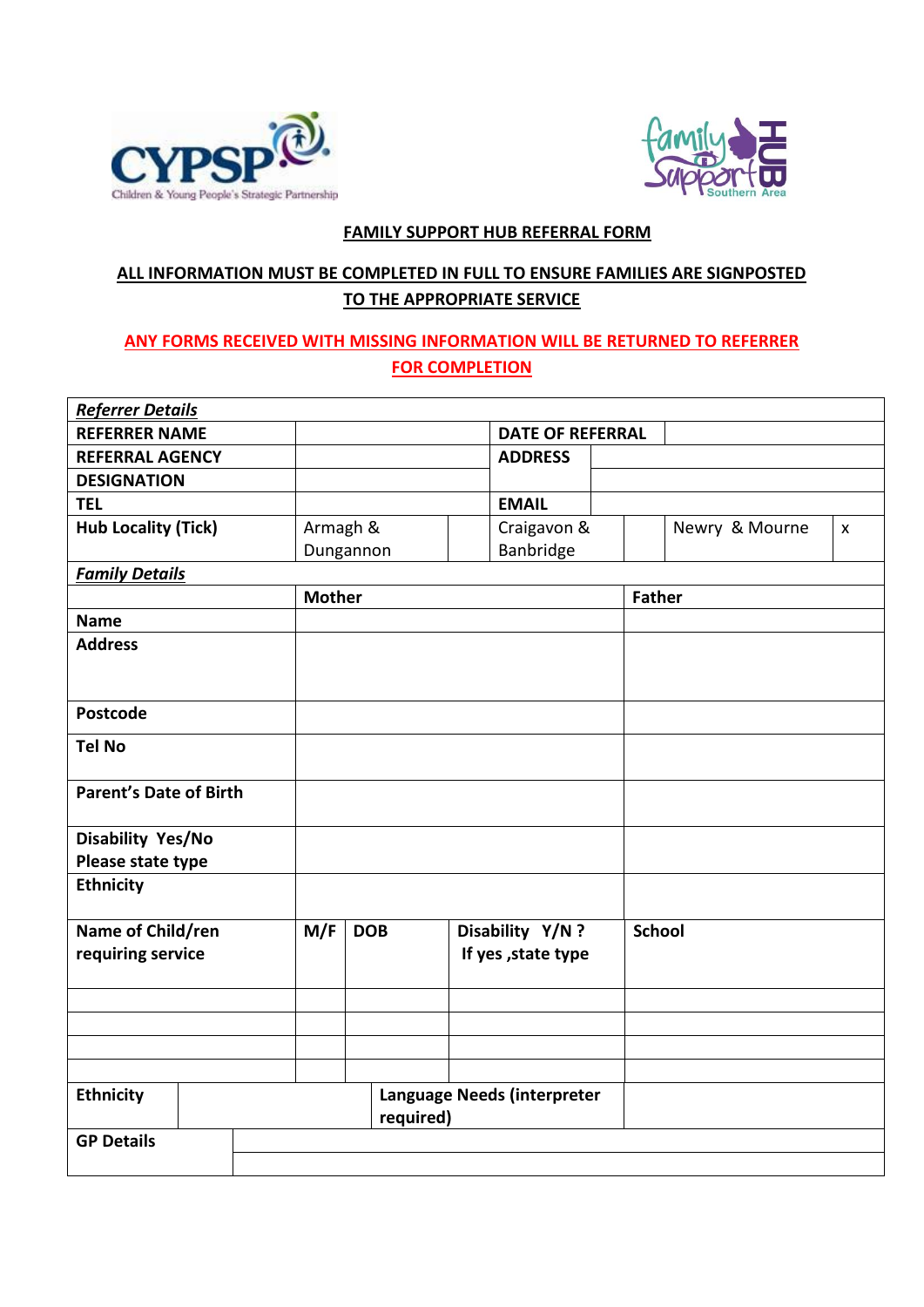



## **FAMILY SUPPORT HUB REFERRAL FORM**

# **ALL INFORMATION MUST BE COMPLETED IN FULL TO ENSURE FAMILIES ARE SIGNPOSTED TO THE APPROPRIATE SERVICE**

# **ANY FORMS RECEIVED WITH MISSING INFORMATION WILL BE RETURNED TO REFERRER FOR COMPLETION**

| <b>Referrer Details</b>                |          |               |                                        |               |                |                    |  |
|----------------------------------------|----------|---------------|----------------------------------------|---------------|----------------|--------------------|--|
| <b>REFERRER NAME</b>                   |          |               | <b>DATE OF REFERRAL</b>                |               |                |                    |  |
| <b>REFERRAL AGENCY</b>                 |          |               | <b>ADDRESS</b>                         |               |                |                    |  |
| <b>DESIGNATION</b>                     |          |               |                                        |               |                |                    |  |
| <b>TEL</b>                             |          |               | <b>EMAIL</b>                           |               |                |                    |  |
| <b>Hub Locality (Tick)</b>             | Armagh & |               | Craigavon &                            |               | Newry & Mourne | $\pmb{\mathsf{X}}$ |  |
|                                        |          | Dungannon     | Banbridge                              |               |                |                    |  |
| <b>Family Details</b>                  |          |               |                                        |               |                |                    |  |
|                                        |          | <b>Mother</b> |                                        |               | <b>Father</b>  |                    |  |
| <b>Name</b>                            |          |               |                                        |               |                |                    |  |
| <b>Address</b>                         |          |               |                                        |               |                |                    |  |
|                                        |          |               |                                        |               |                |                    |  |
| <b>Postcode</b>                        |          |               |                                        |               |                |                    |  |
| <b>Tel No</b>                          |          |               |                                        |               |                |                    |  |
| <b>Parent's Date of Birth</b>          |          |               |                                        |               |                |                    |  |
| Disability Yes/No                      |          |               |                                        |               |                |                    |  |
| Please state type                      |          |               |                                        |               |                |                    |  |
| <b>Ethnicity</b>                       |          |               |                                        |               |                |                    |  |
| Name of Child/ren<br>requiring service | M/F      | <b>DOB</b>    | Disability Y/N?<br>If yes , state type | <b>School</b> |                |                    |  |
|                                        |          |               |                                        |               |                |                    |  |
|                                        |          |               |                                        |               |                |                    |  |
|                                        |          |               |                                        |               |                |                    |  |
|                                        |          |               |                                        |               |                |                    |  |
| <b>Ethnicity</b>                       |          | required)     | Language Needs (interpreter            |               |                |                    |  |
| <b>GP Details</b>                      |          |               |                                        |               |                |                    |  |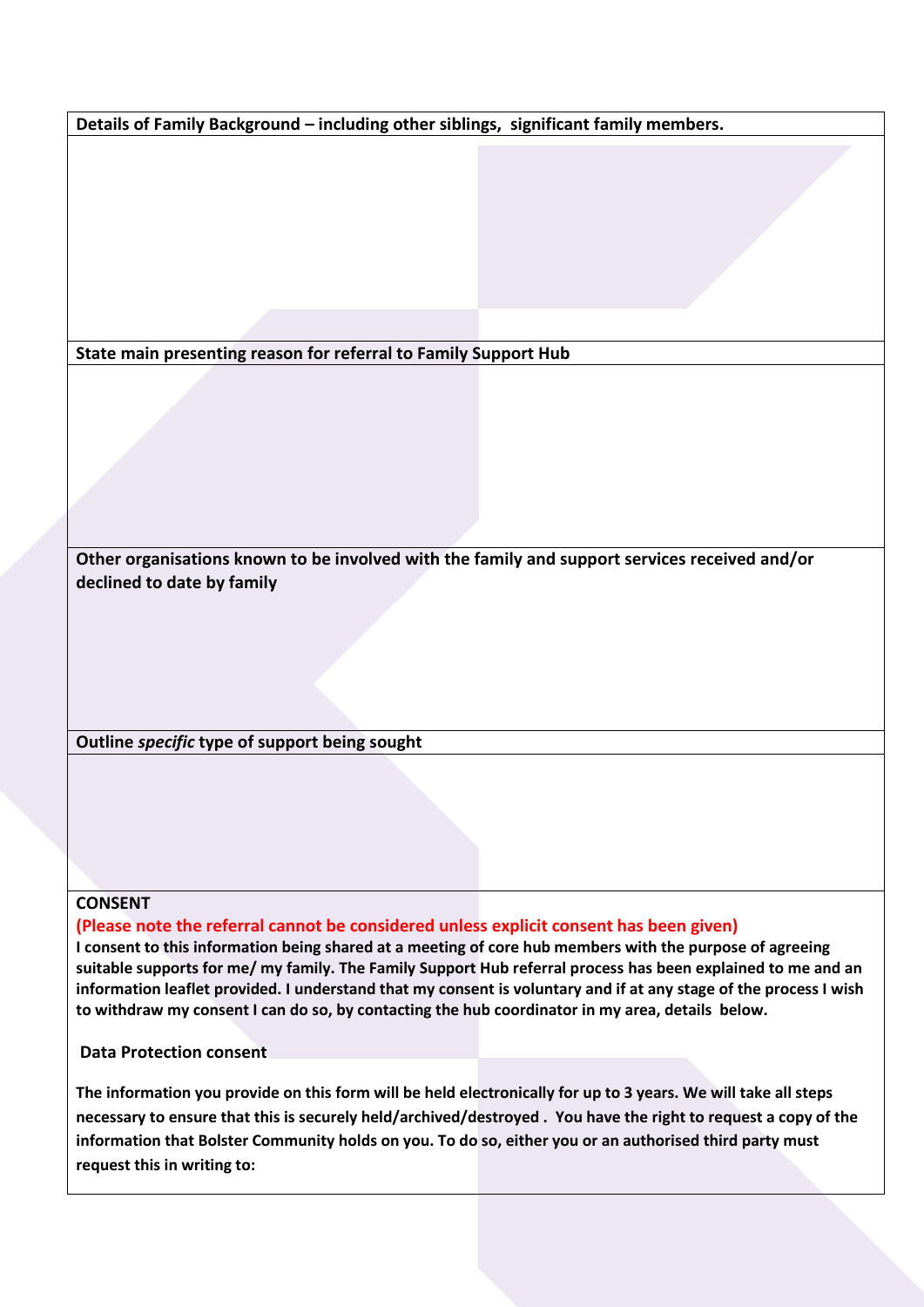**Details of Family Background – including other siblings, significant family members.**

**State main presenting reason for referral to Family Support Hub**

**Other organisations known to be involved with the family and support services received and/or declined to date by family**

**Outline** *specific* **type of support being sought**

#### **CONSENT**

**(Please note the referral cannot be considered unless explicit consent has been given)**

**I consent to this information being shared at a meeting of core hub members with the purpose of agreeing suitable supports for me/ my family. The Family Support Hub referral process has been explained to me and an information leaflet provided. I understand that my consent is voluntary and if at any stage of the process I wish to withdraw my consent I can do so, by contacting the hub coordinator in my area, details below.** 

**Data Protection consent**

**The information you provide on this form will be held electronically for up to 3 years. We will take all steps necessary to ensure that this is securely held/archived/destroyed . You have the right to request a copy of the information that Bolster Community holds on you. To do so, either you or an authorised third party must request this in writing to:**